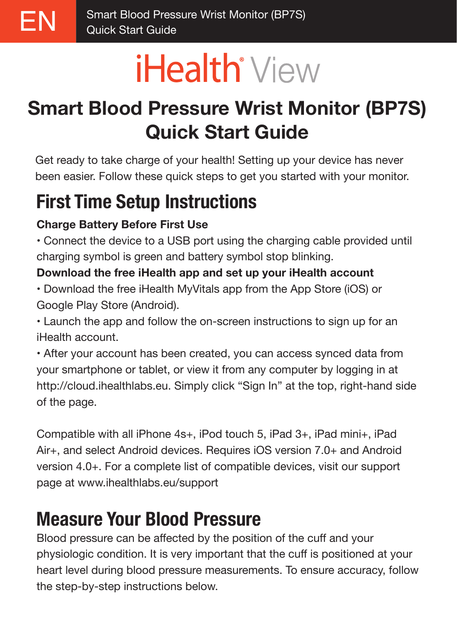# **iHealth**<sup>\*</sup> View

## **Smart Blood Pressure Wrist Monitor (BP7S) Quick Start Guide**

Get ready to take charge of your health! Setting up your device has never been easier. Follow these quick steps to get you started with your monitor.

## **First Time Setup Instructions**

#### **Charge Battery Before First Use**

• Connect the device to a USB port using the charging cable provided until charging symbol is green and battery symbol stop blinking.

#### **Download the free iHealth app and set up your iHealth account**

• Download the free iHealth MyVitals app from the App Store (iOS) or Google Play Store (Android).

• Launch the app and follow the on-screen instructions to sign up for an iHealth account.

• After your account has been created, you can access synced data from your smartphone or tablet, or view it from any computer by logging in at http://cloud.ihealthlabs.eu. Simply click "Sign In" at the top, right-hand side of the page.

Compatible with all iPhone 4s+, iPod touch 5, iPad 3+, iPad mini+, iPad Air+, and select Android devices. Requires iOS version 7.0+ and Android version 4.0+. For a complete list of compatible devices, visit our support page at www.ihealthlabs.eu/support

## **Measure Your Blood Pressure**

Blood pressure can be affected by the position of the cuff and your physiologic condition. It is very important that the cuff is positioned at your heart level during blood pressure measurements. To ensure accuracy, follow the step-by-step instructions below.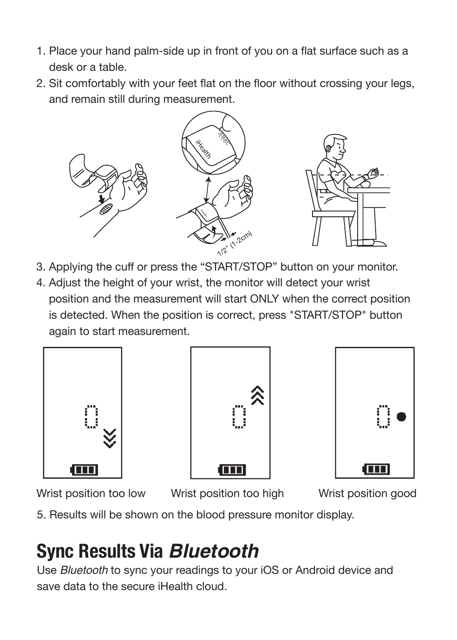- 1. Place your hand palm-side up in front of you on a flat surface such as a desk or a table.
- 2. Sit comfortably with your feet flat on the floor without crossing your legs, and remain still during measurement.



- 3. Applying the cuff or press the "START/STOP" button on your monitor.
- 4. Adjust the height of your wrist, the monitor will detect your wrist position and the measurement will start ONLY when the correct position is detected. When the position is correct, press "START/STOP" button again to start measurement.







Wrist position too low Wrist position too high wrist position good

5. Results will be shown on the blood pressure monitor display.

## **Sync Results Via Bluetooth**

Use Bluetooth to sync your readings to your iOS or Android device and save data to the secure iHealth cloud.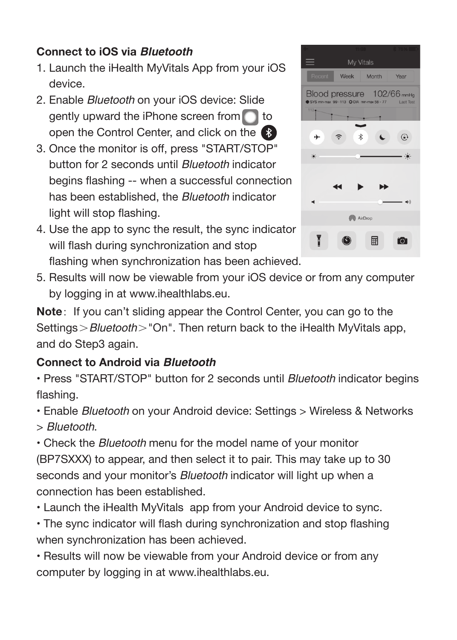#### **Connect to iOS via Bluetooth**

- 1. Launch the iHealth MyVitals App from your iOS device.
- 2. Enable Bluetooth on your iOS device: Slide gently upward the iPhone screen from  $\Box$  to open the Control Center, and click on the
- 3. Once the monitor is off, press "START/STOP" button for 2 seconds until Bluetooth indicator begins flashing -- when a successful connection has been established, the Bluetooth indicator light will stop flashing.
- 4. Use the app to sync the result, the sync indicator will flash during synchronization and stop flashing when synchronization has been achieved.



5. Results will now be viewable from your iOS device or from any computer by logging in at www.ihealthlabs.eu.

**Note**: If you can't sliding appear the Control Center, you can go to the Settings > Bluetooth > "On". Then return back to the iHealth MyVitals app, and do Step3 again.

#### **Connect to Android via Bluetooth**

• Press "START/STOP" button for 2 seconds until Bluetooth indicator begins flashing.

• Enable Bluetooth on your Android device: Settings > Wireless & Networks > Bluetooth.

• Check the Bluetooth menu for the model name of your monitor (BP7SXXX) to appear, and then select it to pair. This may take up to 30 seconds and your monitor's *Bluetooth* indicator will light up when a connection has been established.

• Launch the iHealth MyVitals app from your Android device to sync.

• The sync indicator will flash during synchronization and stop flashing when synchronization has been achieved.

• Results will now be viewable from your Android device or from any computer by logging in at www.ihealthlabs.eu.